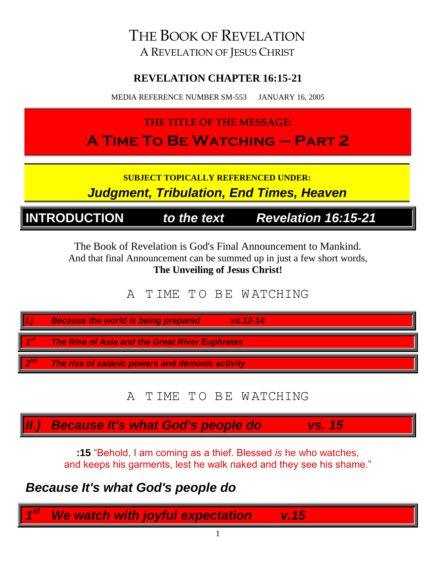THE BOOK OF REVELATION A REVELATION OF JESUS CHRIST

#### **REVELATION CHAPTER 16:15-21**

MEDIA REFERENCE NUMBER SM-553 JANUARY 16, 2005

**THE TITLE OF THE MESSAGE:**

**A Time To Be Watching – Part 2**

**SUBJECT TOPICALLY REFERENCED UNDER:** *Judgment, Tribulation, End Times, Heaven*

**INTRODUCTION** *to the text Revelation 16:15-21*

The Book of Revelation is God's Final Announcement to Mankind. And that final Announcement can be summed up in just a few short words, **The Unveiling of Jesus Christ!**

A T IME T O B E W ATCHING

| Þ          | <b>Because the world is being prepared</b><br>$vs. 12 - 14$ |
|------------|-------------------------------------------------------------|
| - 4St      | The Rise of Asia and the Great River Euphrates              |
| <b>ond</b> | The rise of satanic powers and demonic activity             |

# A T IME T O B E W ATCHING

*II.) Because It's what God's people do vs. 15*

**:15** "Behold, I am coming as a thief. Blessed *is* he who watches, and keeps his garments, lest he walk naked and they see his shame."

# *Because It's what God's people do*

*1* **We watch with joyful expectation v.15**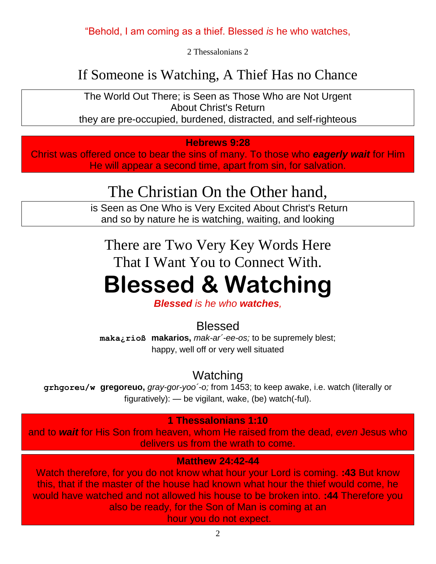#### "Behold, I am coming as a thief. Blessed *is* he who watches,

2 Thessalonians 2

# If Someone is Watching, A Thief Has no Chance

The World Out There; is Seen as Those Who are Not Urgent About Christ's Return they are pre-occupied, burdened, distracted, and self-righteous

#### **Hebrews 9:28**

Christ was offered once to bear the sins of many. To those who *eagerly wait* for Him He will appear a second time, apart from sin, for salvation.

# The Christian On the Other hand,

is Seen as One Who is Very Excited About Christ's Return and so by nature he is watching, waiting, and looking

There are Two Very Key Words Here That I Want You to Connect With.

# **Blessed & Watching**

*Blessed is he who watches,*

#### Blessed

**maka¿rioß makarios,** *mak-ar´-ee-os;* to be supremely blest; happy, well off or very well situated

Watching

**grhgoreu/w gregoreuo,** *gray-gor-yoo´-o;* from 1453; to keep awake, i.e. watch (literally or figuratively): — be vigilant, wake, (be) watch(-ful).

#### **1 Thessalonians 1:10**

and to *wait* for His Son from heaven, whom He raised from the dead, *even* Jesus who delivers us from the wrath to come.

**Matthew 24:42-44**

Watch therefore, for you do not know what hour your Lord is coming. **:43** But know this, that if the master of the house had known what hour the thief would come, he would have watched and not allowed his house to be broken into. **:44** Therefore you also be ready, for the Son of Man is coming at an

hour you do not expect.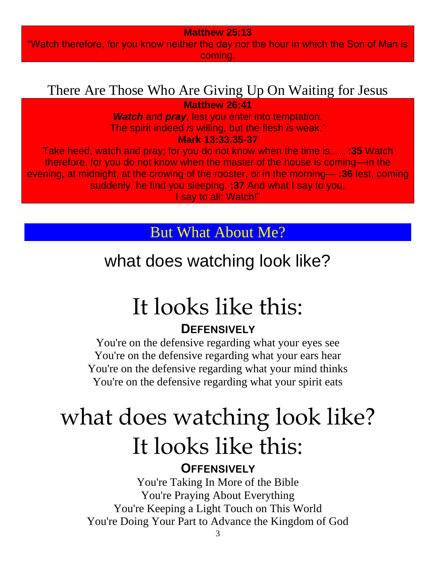#### **Matthew 25:13**

"Watch therefore, for you know neither the day nor the hour in which the Son of Man is coming.

# There Are Those Who Are Giving Up On Waiting for Jesus

**Matthew 26:41**

*Watch* and *pray*, lest you enter into temptation. The spirit indeed *is* willing, but the flesh *is* weak."

**Mark 13:33.35-37**

Take heed, watch and pray; for you do not know when the time is....... **:35** Watch therefore, for you do not know when the master of the house is coming—in the evening, at midnight, at the crowing of the rooster, or in the morning— **:36** lest, coming suddenly, he find you sleeping. **:37** And what I say to you, I say to all: Watch!"

But What About Me?

what does watching look like?

# It looks like this:

# **DEFENSIVELY**

You're on the defensive regarding what your eyes see You're on the defensive regarding what your ears hear You're on the defensive regarding what your mind thinks You're on the defensive regarding what your spirit eats

# what does watching look like? It looks like this:

**OFFENSIVELY**

You're Taking In More of the Bible You're Praying About Everything You're Keeping a Light Touch on This World You're Doing Your Part to Advance the Kingdom of God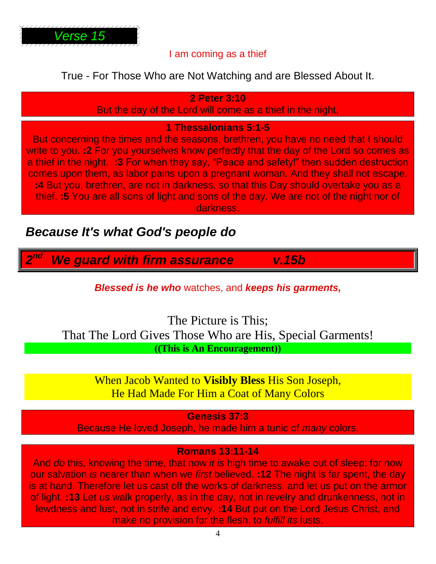

#### I am coming as a thief

#### True - For Those Who are Not Watching and are Blessed About It.

#### **2 Peter 3:10**

But the day of the Lord will come as a thief in the night,

#### **1 Thessalonians 5:1-5**

But concerning the times and the seasons, brethren, you have no need that I should write to you. **:2** For you yourselves know perfectly that the day of the Lord so comes as a thief in the night. **:3** For when they say, "Peace and safety!" then sudden destruction comes upon them, as labor pains upon a pregnant woman. And they shall not escape. **:4** But you, brethren, are not in darkness, so that this Day should overtake you as a thief. **:5** You are all sons of light and sons of the day. We are not of the night nor of darkness.

### *Because It's what God's people do*

*2* **We guard with firm assurance v.15b** 

*Blessed is he who* watches, and *keeps his garments,*

The Picture is This; That The Lord Gives Those Who are His, Special Garments! **((This is An Encouragement))**

> When Jacob Wanted to **Visibly Bless** His Son Joseph, He Had Made For Him a Coat of Many Colors

> > **Genesis 37:3**

Because He loved Joseph, he made him a tunic of *many* colors.

#### **Romans 13:11-14**

And *do* this, knowing the time, that now *it is* high time to awake out of sleep; for now our salvation *is* nearer than when we *first* believed. **:12** The night is far spent, the day is at hand. Therefore let us cast off the works of darkness, and let us put on the armor of light. **:13** Let us walk properly, as in the day, not in revelry and drunkenness, not in lewdness and lust, not in strife and envy. **:14** But put on the Lord Jesus Christ, and make no provision for the flesh, to *fulfill its* lusts.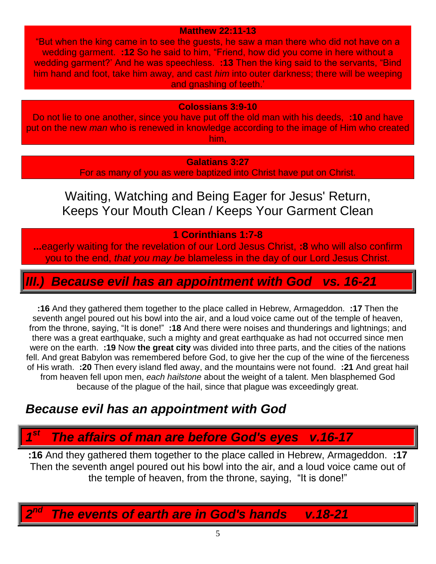#### **Matthew 22:11-13**

"But when the king came in to see the guests, he saw a man there who did not have on a wedding garment. **:12** So he said to him, "Friend, how did you come in here without a wedding garment?' And he was speechless. **:13** Then the king said to the servants, "Bind him hand and foot, take him away, and cast *him* into outer darkness; there will be weeping and gnashing of teeth.'

#### **Colossians 3:9-10**

Do not lie to one another, since you have put off the old man with his deeds, **:10** and have put on the new *man* who is renewed in knowledge according to the image of Him who created him,

#### **Galatians 3:27**

For as many of you as were baptized into Christ have put on Christ.

Waiting, Watching and Being Eager for Jesus' Return, Keeps Your Mouth Clean / Keeps Your Garment Clean

#### **1 Corinthians 1:7-8**

**...**eagerly waiting for the revelation of our Lord Jesus Christ, **:8** who will also confirm you to the end, *that you may be* blameless in the day of our Lord Jesus Christ.

### *Because evil has an appointment with God vs. 16-21*

**:16** And they gathered them together to the place called in Hebrew, Armageddon. **:17** Then the seventh angel poured out his bowl into the air, and a loud voice came out of the temple of heaven, from the throne, saying, "It is done!" **:18** And there were noises and thunderings and lightnings; and there was a great earthquake, such a mighty and great earthquake as had not occurred since men were on the earth. **:19** Now **the great city** was divided into three parts, and the cities of the nations fell. And great Babylon was remembered before God, to give her the cup of the wine of the fierceness of His wrath. **:20** Then every island fled away, and the mountains were not found. **:21** And great hail from heaven fell upon men, *each hailstone* about the weight of a talent. Men blasphemed God because of the plague of the hail, since that plague was exceedingly great.

# *Because evil has an appointment with God*

#### *1 st The affairs of man are before God's eyes v.16-17*

**:16** And they gathered them together to the place called in Hebrew, Armageddon. **:17** Then the seventh angel poured out his bowl into the air, and a loud voice came out of the temple of heaven, from the throne, saying, "It is done!"